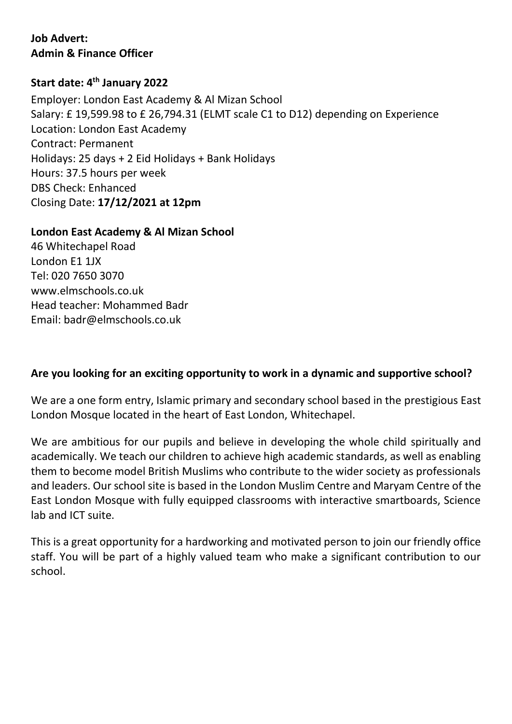# **Job Advert: Admin & Finance Officer**

# **Start date: 4th January 2022**

Employer: London East Academy & Al Mizan School Salary: £ 19,599.98 to £ 26,794.31 (ELMT scale C1 to D12) depending on Experience Location: London East Academy Contract: Permanent Holidays: 25 days + 2 Eid Holidays + Bank Holidays Hours: 37.5 hours per week DBS Check: Enhanced Closing Date: **17/12/2021 at 12pm**

#### **London East Academy & Al Mizan School**

46 Whitechapel Road London E1 1JX Tel: 020 7650 3070 www.elmschools.co.uk Head teacher: Mohammed Badr Email: badr@elmschools.co.uk

### **Are you looking for an exciting opportunity to work in a dynamic and supportive school?**

We are a one form entry, Islamic primary and secondary school based in the prestigious East London Mosque located in the heart of East London, Whitechapel.

We are ambitious for our pupils and believe in developing the whole child spiritually and academically. We teach our children to achieve high academic standards, as well as enabling them to become model British Muslims who contribute to the wider society as professionals and leaders. Our school site is based in the London Muslim Centre and Maryam Centre of the East London Mosque with fully equipped classrooms with interactive smartboards, Science lab and ICT suite.

This is a great opportunity for a hardworking and motivated person to join our friendly office staff. You will be part of a highly valued team who make a significant contribution to our school.